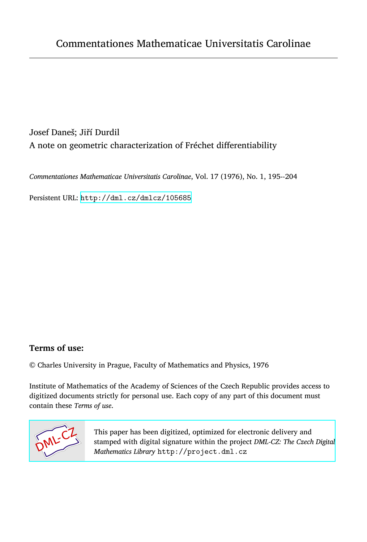Josef Daneš; Jiří Durdil A note on geometric characterization of Fréchet differentiability

*Commentationes Mathematicae Universitatis Carolinae*, Vol. 17 (1976), No. 1, 195--204

Persistent URL: <http://dml.cz/dmlcz/105685>

# **Terms of use:**

© Charles University in Prague, Faculty of Mathematics and Physics, 1976

Institute of Mathematics of the Academy of Sciences of the Czech Republic provides access to digitized documents strictly for personal use. Each copy of any part of this document must contain these *Terms of use*.



[This paper has been digitized, optimized for electronic delivery and](http://project.dml.cz) stamped with digital signature within the project *DML-CZ: The Czech Digital Mathematics Library* http://project.dml.cz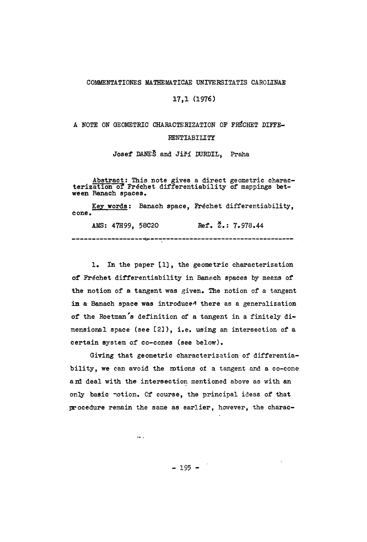### COMMENTATIONES MATHEMATICAE UNIVERSITATIS CAROLINAE

## 17,1 (1976)

# A NOTE ON GEOMETRIC CHARACTERIZATION OF FRĚCHET DIFFE-RENTIABILITY

Josef DANES and Jiří DURDIL, Praha

Abstract: This note gives a direct geometric charac-<br>terization of Fréchet differentiability of mappings between Banach spaces.

Key words: Banach space, Fréchet differentiability, cone .

AMS: 47H99, 58C20 Ref.  $\zeta$ . 7.978.44 

1. In the paper [1] , the geometric characterization of Fréchet differentiability in Banach spaces by means of the notion of a tangent was given. The notion of a tangent in a Banach space was introduced there as a generalization of the Roetman's definition of a tangent in a finitely dimensional space (see [2]), i.e. using an intersection of a certain system of co-cones (see below).

Giving that geometric characterization of differentiability, we can avoid the mtions of a tangent and a co-cone and deal with the intersection mentioned above as with an only basic notion. Of course, the principal ideas of that procedure remain the same as earlier, however, the charac-

 $\Delta$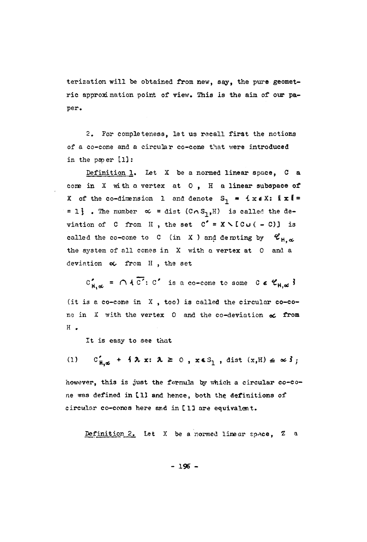terization will be obtained from new, say, the pure geometric approximation point of view. This is the aim of our paper.

2. For completeness, let us recall first the notions of a co-cone and a circular co-cone that were introduced in the paper [1]:

Definition 1. Let  $X$  be a normed linear space,  $C$  a cone in  $X$  with a vertex at  $0$ , H a linear subspace of X of the co-dimension 1 and denote  $S_1 = \{x \in X: \|x\| =$ = 1}. The number  $\alpha$  = dist (Co S<sub>1</sub>,H) is called the deviation of C from H, the set  $C' = X \setminus [C \cup (-C)]$  is called the co-cone to C (in X ) and denoting by  $\mathscr{C}_{H, \infty}$ the system of all cones in X with a vertex at 0 and a deviation  $\infty$  from H, the set

 $C_{H, \infty}^{\prime} = \bigcap \{ \overline{C'} : C' \text{ is a co-cone to some } C \in \mathcal{C}_{H, \infty} \}$ (it is a co-cone in X , too) is called the circular co-cone in X with the vertex 0 and the co-deviation *oc* from H .

It is easy to see that

(1)  $C'_{H,g}$  +  $\{\lambda x: \lambda \ge 0, x \in S_1, \text{dist } (x,H) \le \infty \}$ 

however, this is just the formula by which a circular co-cone was defined in [1] and hence, both the definitions of circular co-cones here and in [13 are equivalent.

Definition 2. Let X be a normed linear space, *1* a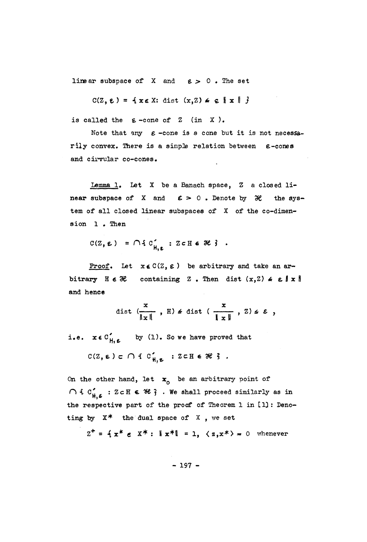linear subspace of X and  $\varepsilon > 0$ . The set

 $C(Z, \varepsilon) = \{x \in X: \text{dist}(x, Z) \neq \varepsilon \mid x \mid \}$ 

is called the  $\varepsilon$ -cone of  $Z$  (in X).

Note that any  $\varepsilon$ -cone is a cone but it is not necessarily convex. There is a simple relation between  $\varepsilon$ -cones and cirvular co-cones.

Lemma 1. Let X be a Banach space, Z a closed linear subspace of X and  $\epsilon > 0$ . Denote by  $\mathcal{H}$  the system of all closed linear subspaces of X of the co-dimension 1. Then

 $C(Z, \epsilon) = \bigcap \{ C_{H, \epsilon} : Z \subset H \in \mathcal{H} \}$ .

Proof. Let  $x \in C(Z, \varepsilon)$  be arbitrary and take an arbitrary  $H \in \mathcal{H}$  containing Z. Then dist  $(x, 2) \le \varepsilon \|x\|$ and hence

$$
\text{dist } \left( \frac{x}{\|x\|} \right), \text{ H} \neq \text{dist } \left( \frac{x}{\|x\|} \right), \text{ Z} \neq \varepsilon ,
$$

i.e.  $x \in C'_{H, \epsilon}$  by (1). So we have proved that

 $C(Z, \epsilon) \subset \bigcap \{ C'_{\text{H}, \epsilon} : Z \subset \text{H} \epsilon \mathcal{H} \}$ .

On the other hand, let  $x_0$  be an arbitrary point of  $\bigcap$  {  $C'_{\mu \kappa}$  : ZcH  $\epsilon$  \%}. We shall proceed similarly as in the respective part of the proof of Theorem 1 in [1]: Denoting by  $X^*$  the dual space of  $X$ , we set

 $z^+ = 4x^* \in X^* : \|x^*\| = 1$ ,  $\langle z, x^* \rangle = 0$  whenever

 $-197 -$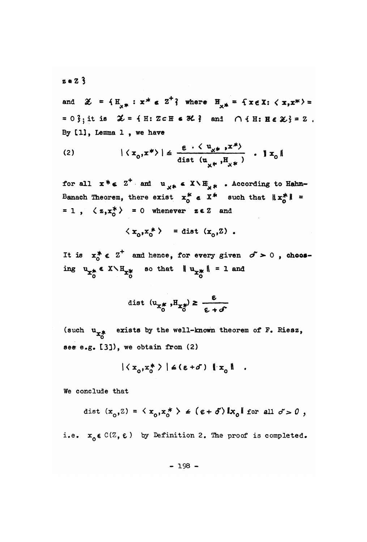$z \in Z$   $\hat{3}$ 

and  $\mathscr{Z} = \{H_{\mathscr{A}} : x^* \in Z^{\dagger}\}\$  where  $H_{\mathscr{A}} = \{x \in X : \langle x, x^* \rangle =$ =  $0\frac{2}{3}$ ; it is  $\mathcal{L} = \{ H : Z \subset H \in \mathcal{H} \}$  and  $\bigcap \{ H : H \in \mathcal{L} \} = Z$ . By [1], Lemma 1, we have

$$
(2) \qquad \qquad | \langle x_0, x^* \rangle | \leq \frac{\varepsilon \cdot \langle u_{x^*}, x^* \rangle}{\text{dist } (u_{x^*}, H_{x^*})} \quad | \quad x_0 \|
$$

for all  $x^* \in Z^+$  and  $u_{x^*} \in X \setminus H_{x^*}$  . According to Hahn-Banach Theorem, there exist  $x_0^* \in X^*$  such that  $||x_0^*|| =$ = 1,  $\langle z, x_0^* \rangle$  = 0 whenever  $z \in \mathbb{Z}$  and

$$
\langle x_0, x_0^* \rangle = \text{dist}(x_0, Z)
$$
.

It is  $x_0^* \in Z^+$  and hence, for every given  $\sigma > 0$ , choosing  $u_{x_0^*} \in X \setminus H_{x_0^*}$  so that  $\|u_{x_0^*}\| = 1$  and

$$
\text{dist } (\mathbf{u}_{\mathbf{x}_0^*}, \mathbf{H}_{\mathbf{x}_0^*}) \geq \frac{\varepsilon}{\varepsilon + \sigma^2}
$$

(such  $u_{x*}$  exists by the well-known theorem of F. Riesz, see e.g. [3]), we obtain from (2)

$$
|\langle x_o, x_o^* \rangle| \le (\epsilon + \sigma) \|x_o\|
$$

We conclude that

dist  $(x_0, z) = \langle x_0, x_0^* \rangle \neq (\epsilon + \delta) \|x_0\|$  for all  $\delta > 0$ ,

i.e.  $x_0 \in C(Z, \epsilon)$  by Definition 2. The proof is completed.

 $-198 -$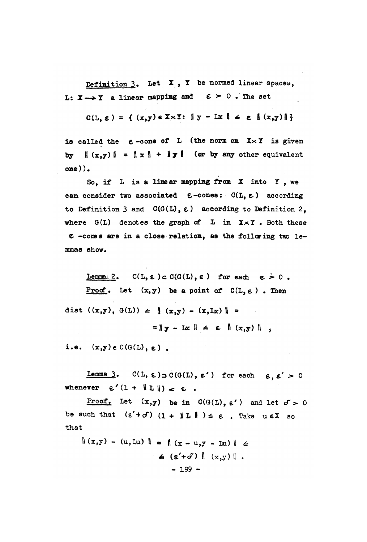Definition  $3$ . Let  $X$ ,  $Y$  be normed linear spaces, L:  $X \longrightarrow Y$  a linear mapping and  $\epsilon > 0$ . The set

$$
C(L, \varepsilon) = \{ (x,y) \in X \times Y : ||y - Lx|| \le \varepsilon | (x,y)|| \}
$$

is called the  $\varepsilon$ -cone of L (the norm on  $X \times Y$  is given by  $\|(x,y)\| = \|x\| + \|y\|$  (or by any other equivalent  $one$ ).

So, if L is a linear mapping from X into Y, we can consider two associated  $\epsilon$ -cones:  $C(L, \epsilon)$  according to Definition 3 and  $C(G(L), \varepsilon)$  according to Definition 2. where  $G(L)$  denotes the graph of  $L$  in  $X \times Y$ . Both these  $\epsilon$  -comes are in a close relation, as the following two lemmas show.

Lemma: 2.  $C(L, \epsilon) \subset C(G(L), \epsilon)$  for each  $\epsilon > 0$ . Proof. Let  $(x, y)$  be a point of  $C(L, \varepsilon)$ . Then dist  $((x,y), G(L)) \le ||(x,y) - (x,Lx)|| =$  $= \|y - Lx\| \le \varepsilon \| (x,y) \|$ ,

i.e.  $(x,y) \in C(G(L), \varepsilon)$ .

Lemma 3.  $C(L, \epsilon) \supset C(G(L), \epsilon')$  for each  $\epsilon, \epsilon' > 0$ whenever  $\varepsilon'(1 + \|L\|) \geq \varepsilon$ .

<u>Proof.</u> Let  $(x,y)$  be in  $C(G(L), \varepsilon')$  and let  $\sigma > 0$ be such that  $(\epsilon' + \delta') (1 + \|L\|) \leq \epsilon$ . Take  $u \in X$  so that

 $\|(x,y)-(u,Lu)\| = \|(x-u,y-Lu)\| \le$  $\leq$  (g'+o')  $\|$  (x,y)  $\|$ .  $-199 -$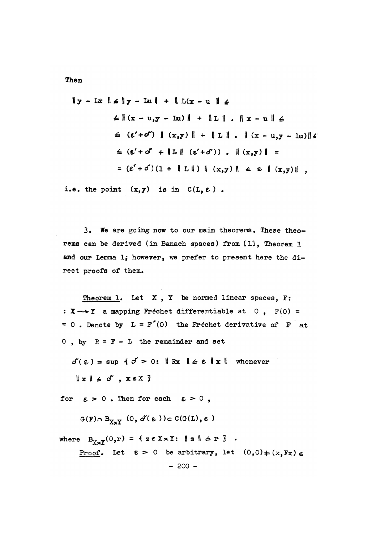Then.

$$
\|y - \text{Lix}\| \le \|y - \text{Lx}\| + \|\text{L}(x - u)\| \le
$$
  
\n
$$
\le \| (x - u_1y - \text{Lx}) \| + \|\text{L}\| \cdot \|x - u\| \le
$$
  
\n
$$
\le (e' + o'') \|(x_1y)\| + \|\text{L}\| \cdot \|(x - u_1y - \text{Lx})\| \le
$$
  
\n
$$
\le (e' + o' + \|\text{L}\| \cdot (e' + o')) \cdot \|(x_1y)\| =
$$
  
\n
$$
= (e' + o')(1 + \|\text{L}\|) \|(x_1y)\| \le e \|(x_1y)\|,
$$

i.e. the point  $(x, y)$  is in  $C(L, \varepsilon)$ .

3. We are going now to our main theorems. These theorems can be derived (in Banach spaces) from [1], Theorem 1 and our Lemma 1; however, we prefer to present here the direct proofs of them.

Theorem 1. Let  $X$ ,  $Y$  be normed linear spaces,  $F$ : :  $X \rightarrow Y$  a mapping Fréchet differentiable at 0,  $F(0) =$ = 0. Denote by  $L = F'(0)$  the Fréchet derivative of F at  $0$ , by  $R = F - L$  the remainder and set

 $\sigma'(\epsilon) = \sup \{ \sigma > 0 : || \log || \epsilon || \sin ||$  whenever  $\|x\| \leq d'$ ,  $x \in X$  }

for  $\varepsilon > 0$ . Then for each  $\varepsilon > 0$ ,

 $G(F) \cap B_{X \times Y}$  (0,  $\delta'(E)$ ) c C(G(L),  $\epsilon$ )

where  $B_{\gamma \vee \gamma}(0, r) = \{ z \in X \times Y : \| z \| \leq r \}$ . Proof. Let  $\epsilon > 0$  be arbitrary, let  $(0,0) \neq (x, Fx) \epsilon$  $-200 -$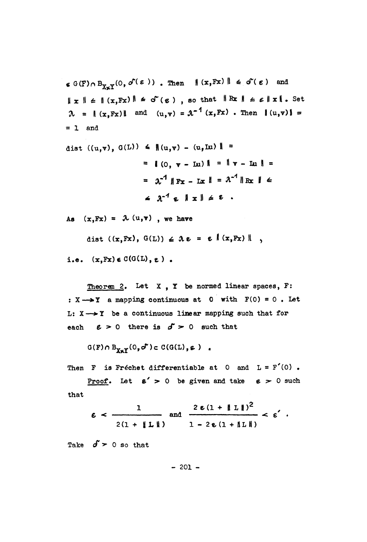$\epsilon$  G(F)  $\cap$  B<sub>Xx</sub><sub>Y</sub>(0,  $\sigma$ <sup>(</sup>( $\epsilon$ )). Then  $\|(x,Fx)\| \leq \sigma$ <sup>'</sup>( $\epsilon$ ) and  $||x|| \le ||(x, Fx)|| \le d^c(\epsilon)$ , so that  $||Rx|| \le \epsilon ||x||$ . Set  $\lambda = \|(x, Fx)\|$  and  $(u, v) = \lambda^{-1}(x, Fx)$ . Then  $\|(u, v)\| =$  $= 1$  and

dist ((u,v), G(L)) 
$$
\leq
$$
  $|(u,v) - (u,\text{Lu})| =$   
\n $= | (0, v - \text{Lu}) | = || v - \text{Lu} || =$   
\n $= \mathcal{X}^1 || \text{Fx} - \text{Lx} || = \mathcal{X}^1 || \text{Rx} || \le$   
\n $\leq \mathcal{X}^1 \in ||x|| \leq \epsilon$ .

As  $(x, Fx) = \lambda(u, v)$ , we have

dist ((x, Fx), G(L)) 
$$
\leq \lambda \epsilon = \epsilon | (x, Fx) |
$$
,

i.e.  $(x, Fx) \in C(G(L), \varepsilon)$ .

Theorem 2. Let  $X$ ,  $Y$  be normed linear spaces,  $F$ : :  $X \rightarrow Y$  a mapping continuous at 0 with  $F(0) = 0$ . Let L:  $X \rightarrow Y$  be a continuous linear mapping such that for each  $\epsilon > 0$  there is  $\delta > 0$  such that

$$
G(F) \cap B_{\chi_{\alpha} \gamma}(0, \sigma^{\alpha}) \subset C(G(L), \epsilon) \quad .
$$

Then F is Fréchet differentiable at 0 and  $L = F'(0)$ .

**Proof.** Let  $\epsilon' > 0$  be given and take  $\epsilon > 0$  such that

$$
\varepsilon < \frac{1}{2(1 + \|L\|)} \quad \text{and} \quad \frac{2 \varepsilon (1 + \|L\|)^2}{1 - 2 \varepsilon (1 + \|L\|)} < \varepsilon' \; .
$$

Take  $\delta$  > 0 so that

 $-201 -$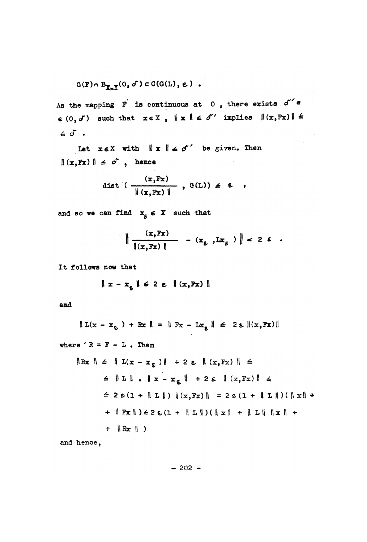$$
G(F) \cap B_{\mathbb{X} \times \mathbb{Y}}(0, \sigma') \subset C(G(L), \epsilon) .
$$

As the mapping  $\overrightarrow{r}$  is continuous at 0, there exists  $\sigma' \in$  $\epsilon$  (0,  $\delta$ ) such that  $x \in X$ ,  $\| x \| \leq \delta'$  implies  $\| (x, Fx) \| \leq$  $\epsilon$  of .

Let  $x \in X$  with  $\| x \| \leq \sigma'$  be given. Then  $\|(x, Fx)\| \leq \sigma^*$ , hence

dist 
$$
(\frac{(x,Fx)}{\|(x,Fx)\|}, G(L)) \neq \varepsilon
$$
 ,

and so we can find  $x_{\varepsilon} \in X$  such that

$$
\left\| \frac{(x, Fx)}{\|(x, Fx)\|} - (x_g, Ix_g) \right\| < 2 \epsilon
$$

It follows now that

$$
\parallel x - x_{\varepsilon} \parallel \leq 2 \varepsilon \parallel (x, Fx) \parallel
$$

and

$$
\| L(x - x_{\varepsilon}) + Rx \| = \| Px - Lx_{\varepsilon} \| \leq 2 \varepsilon \| (x, Fx) \|
$$

where 
$$
R = F - L
$$
. Then

$$
\|\mathbf{Rx}\| \leq \|\mathbf{L}(\mathbf{x} - \mathbf{x}_{\epsilon})\| + 2 \epsilon \|\mathbf{x}, \mathbf{Fx}\| \leq
$$
  
\n
$$
\leq \|\mathbf{L}\| \cdot \|\mathbf{x} - \mathbf{x}_{\epsilon}\| + 2 \epsilon \|\mathbf{x}, \mathbf{Fx}\| \leq
$$
  
\n
$$
\leq 2 \epsilon (1 + \|\mathbf{L}\|) \|\mathbf{x}, \mathbf{Fx}\| = 2 \epsilon (1 + \|\mathbf{L}\|)(\|\mathbf{x}\| +
$$
  
\n
$$
+ \|\mathbf{Fx}\|) \leq 2 \epsilon (1 + \|\mathbf{L}\|)(\|\mathbf{x}\| + \|\mathbf{L}\| \|\mathbf{x}\| +
$$
  
\n
$$
+ \|\mathbf{Rx}\|)
$$

and hence,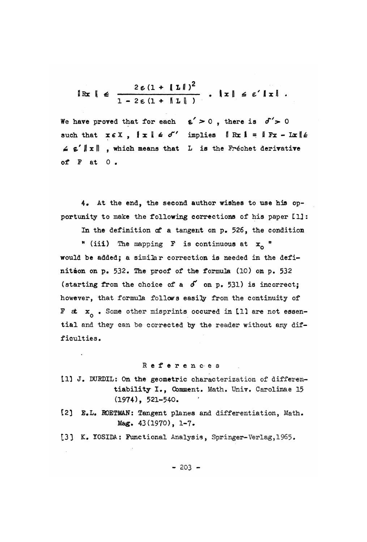$$
\|\operatorname{Rx}\| \leq \frac{2\,\varepsilon\,(1 + \|\operatorname{I}\|)^2}{1 - 2\,\varepsilon\,(1 + \|\operatorname{I}\|)} \quad \text{,} \quad \|\operatorname{x}\| \leq \varepsilon' \|\operatorname{x}\| \,.
$$

We have proved that for each  $\epsilon' > 0$ , there is  $\delta' > 0$ such that  $x \in X$ ,  $\|x\| \leq d'$  implies  $\|Rx\| = \|Fx - Ix\|$  $\leq \varepsilon' ||x||$ , which means that L is the Fréchet derivative of  $F$  at  $0$ .

4. At the end, the second author wishes to use his opportunity to make the following corrections of his paper [1]:

In the definition of a tangent on p. 526, the condition

" (iii) The mapping F is continuous at  $x_n$  " would be added; a similar correction is needed in the definition on p. 532. The proof of the formula (10) on p. 532 (starting from the choice of a  $\delta'$  on p. 531) is incorrect; however, that formula follows easily from the continuity of F at  $x_{\alpha}$ . Some other misprints occured in [1] are not essential and they can be corrected by the reader without any difficulties.

### References

- [1] J. DURDIL: On the geometric characterization of differentiability I., Comment. Math. Univ. Carolinae 15  $(1974)$ , 521-540.
- [2] E.L. ROETMAN: Tangent planes and differentiation, Math. Mag. 43(1970), 1-7.
- [3] K. YOSIDA: Functional Analysis, Springer-Verlag, 1965.